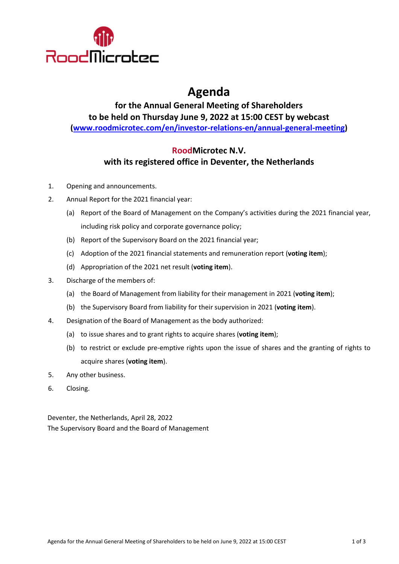

# **Agenda**

**for the Annual General Meeting of Shareholders to be held on Thursday June 9, 2022 at 15:00 CEST by webcast [\(www.roodmicrotec.com/en/investor-relations-en/annual-general-meeting\)](http://www.roodmicrotec.com/en/investor-relations-en/annual-general-meeting)**

## **RoodMicrotec N.V. with its registered office in Deventer, the Netherlands**

- 1. Opening and announcements.
- 2. Annual Report for the 2021 financial year:
	- (a) Report of the Board of Management on the Company's activities during the 2021 financial year, including risk policy and corporate governance policy;
	- (b) Report of the Supervisory Board on the 2021 financial year;
	- (c) Adoption of the 2021 financial statements and remuneration report (**voting item**);
	- (d) Appropriation of the 2021 net result (**voting item**).
- 3. Discharge of the members of:
	- (a) the Board of Management from liability for their management in 2021 (**voting item**);
	- (b) the Supervisory Board from liability for their supervision in 2021 (**voting item**).
- 4. Designation of the Board of Management as the body authorized:
	- (a) to issue shares and to grant rights to acquire shares (**voting item**);
	- (b) to restrict or exclude pre-emptive rights upon the issue of shares and the granting of rights to acquire shares (**voting item**).
- 5. Any other business.
- 6. Closing.

Deventer, the Netherlands, April 28, 2022 The Supervisory Board and the Board of Management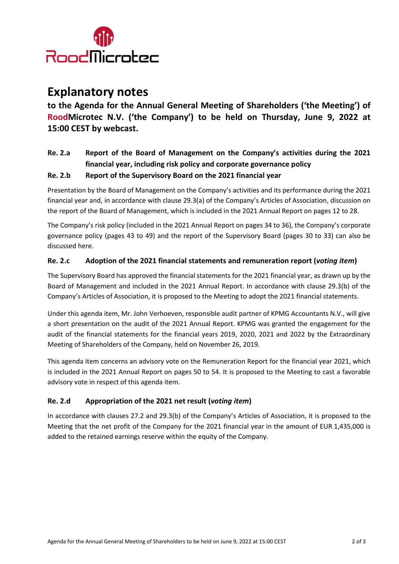

## **Explanatory notes**

**to the Agenda for the Annual General Meeting of Shareholders ('the Meeting') of RoodMicrotec N.V. ('the Company') to be held on Thursday, June 9, 2022 at 15:00 CEST by webcast.**

## **Re. 2.a Report of the Board of Management on the Company's activities during the 2021 financial year, including risk policy and corporate governance policy**

#### **Re. 2.b Report of the Supervisory Board on the 2021 financial year**

Presentation by the Board of Management on the Company's activities and its performance during the 2021 financial year and, in accordance with clause 29.3(a) of the Company's Articles of Association, discussion on the report of the Board of Management, which is included in the 2021 Annual Report on pages 12 to 28.

The Company's risk policy (included in the 2021 Annual Report on pages 34 to 36), the Company's corporate governance policy (pages 43 to 49) and the report of the Supervisory Board (pages 30 to 33) can also be discussed here.

#### **Re. 2.c Adoption of the 2021 financial statements and remuneration report (***voting item***)**

The Supervisory Board has approved the financial statements for the 2021 financial year, as drawn up by the Board of Management and included in the 2021 Annual Report. In accordance with clause 29.3(b) of the Company's Articles of Association, it is proposed to the Meeting to adopt the 2021 financial statements.

Under this agenda item, Mr. John Verhoeven, responsible audit partner of KPMG Accountants N.V., will give a short presentation on the audit of the 2021 Annual Report. KPMG was granted the engagement for the audit of the financial statements for the financial years 2019, 2020, 2021 and 2022 by the Extraordinary Meeting of Shareholders of the Company, held on November 26, 2019.

This agenda item concerns an advisory vote on the Remuneration Report for the financial year 2021, which is included in the 2021 Annual Report on pages 50 to 54. It is proposed to the Meeting to cast a favorable advisory vote in respect of this agenda item.

#### **Re. 2.d Appropriation of the 2021 net result (***voting item***)**

In accordance with clauses 27.2 and 29.3(b) of the Company's Articles of Association, it is proposed to the Meeting that the net profit of the Company for the 2021 financial year in the amount of EUR 1,435,000 is added to the retained earnings reserve within the equity of the Company.